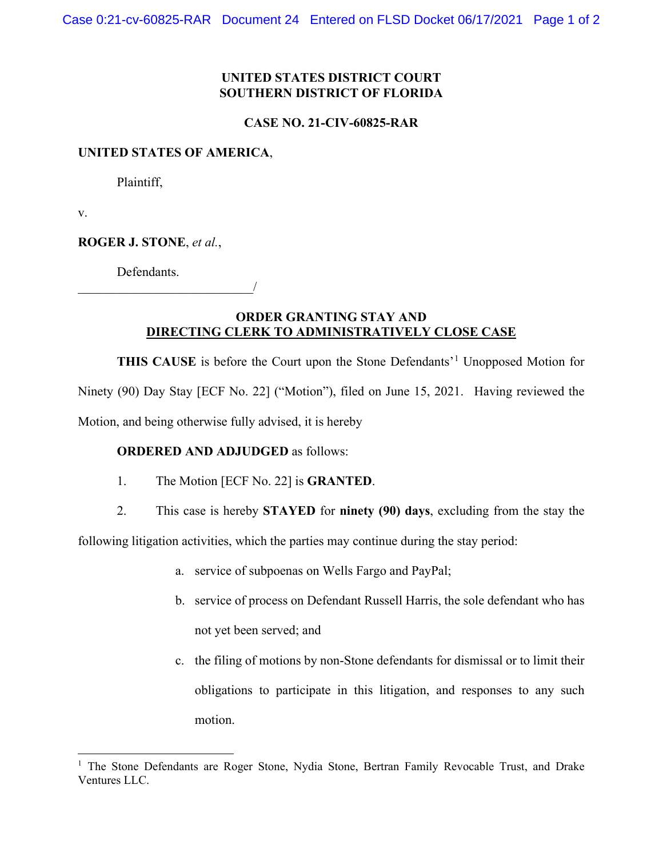# **UNITED STATES DISTRICT COURT SOUTHERN DISTRICT OF FLORIDA**

### **CASE NO. 21-CIV-60825-RAR**

#### **UNITED STATES OF AMERICA**,

Plaintiff,

v.

**ROGER J. STONE**, *et al.*,

Defendants.

\_\_\_\_\_\_\_\_\_\_\_\_\_\_\_\_\_\_\_\_\_\_\_\_\_\_\_/

## **ORDER GRANTING STAY AND DIRECTING CLERK TO ADMINISTRATIVELY CLOSE CASE**

THIS CAUSE is before the Court upon the Stone Defendants'<sup>[1](#page-0-0)</sup> Unopposed Motion for Ninety (90) Day Stay [ECF No. 22] ("Motion"), filed on June 15, 2021. Having reviewed the Motion, and being otherwise fully advised, it is hereby

## **ORDERED AND ADJUDGED** as follows:

- 1. The Motion [ECF No. 22] is **GRANTED**.
- 2. This case is hereby **STAYED** for **ninety (90) days**, excluding from the stay the

following litigation activities, which the parties may continue during the stay period:

- a. service of subpoenas on Wells Fargo and PayPal;
- b. service of process on Defendant Russell Harris, the sole defendant who has not yet been served; and
- c. the filing of motions by non-Stone defendants for dismissal or to limit their obligations to participate in this litigation, and responses to any such motion.

<span id="page-0-0"></span><sup>&</sup>lt;sup>1</sup> The Stone Defendants are Roger Stone, Nydia Stone, Bertran Family Revocable Trust, and Drake Ventures LLC.